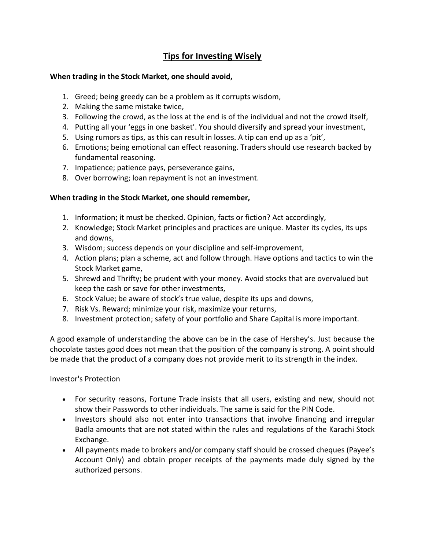# **Tips for Investing Wisely**

# **When trading in the Stock Market, one should avoid,**

- 1. Greed; being greedy can be a problem as it corrupts wisdom,
- 2. Making the same mistake twice,
- 3. Following the crowd, as the loss at the end is of the individual and not the crowd itself,
- 4. Putting all your 'eggs in one basket'. You should diversify and spread your investment,
- 5. Using rumors as tips, as this can result in losses. A tip can end up as a 'pit',
- 6. Emotions; being emotional can effect reasoning. Traders should use research backed by fundamental reasoning.
- 7. Impatience; patience pays, perseverance gains,
- 8. Over borrowing; loan repayment is not an investment.

# **When trading in the Stock Market, one should remember,**

- 1. Information; it must be checked. Opinion, facts or fiction? Act accordingly,
- 2. Knowledge; Stock Market principles and practices are unique. Master its cycles, its ups and downs,
- 3. Wisdom; success depends on your discipline and self-improvement,
- 4. Action plans; plan a scheme, act and follow through. Have options and tactics to win the Stock Market game,
- 5. Shrewd and Thrifty; be prudent with your money. Avoid stocks that are overvalued but keep the cash or save for other investments,
- 6. Stock Value; be aware of stock's true value, despite its ups and downs,
- 7. Risk Vs. Reward; minimize your risk, maximize your returns,
- 8. Investment protection; safety of your portfolio and Share Capital is more important.

A good example of understanding the above can be in the case of Hershey's. Just because the chocolate tastes good does not mean that the position of the company is strong. A point should be made that the product of a company does not provide merit to its strength in the index.

Investor's Protection

- For security reasons, Fortune Trade insists that all users, existing and new, should not show their Passwords to other individuals. The same is said for the PIN Code.
- Investors should also not enter into transactions that involve financing and irregular Badla amounts that are not stated within the rules and regulations of the Karachi Stock Exchange.
- All payments made to brokers and/or company staff should be crossed cheques (Payee's Account Only) and obtain proper receipts of the payments made duly signed by the authorized persons.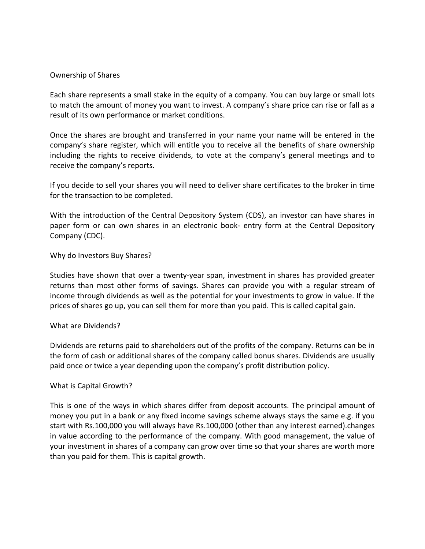### Ownership of Shares

Each share represents a small stake in the equity of a company. You can buy large or small lots to match the amount of money you want to invest. A company's share price can rise or fall as a result of its own performance or market conditions.

Once the shares are brought and transferred in your name your name will be entered in the company's share register, which will entitle you to receive all the benefits of share ownership including the rights to receive dividends, to vote at the company's general meetings and to receive the company's reports.

If you decide to sell your shares you will need to deliver share certificates to the broker in time for the transaction to be completed.

With the introduction of the Central Depository System (CDS), an investor can have shares in paper form or can own shares in an electronic book- entry form at the Central Depository Company (CDC).

### Why do Investors Buy Shares?

Studies have shown that over a twenty-year span, investment in shares has provided greater returns than most other forms of savings. Shares can provide you with a regular stream of income through dividends as well as the potential for your investments to grow in value. If the prices of shares go up, you can sell them for more than you paid. This is called capital gain.

### What are Dividends?

Dividends are returns paid to shareholders out of the profits of the company. Returns can be in the form of cash or additional shares of the company called bonus shares. Dividends are usually paid once or twice a year depending upon the company's profit distribution policy.

### What is Capital Growth?

This is one of the ways in which shares differ from deposit accounts. The principal amount of money you put in a bank or any fixed income savings scheme always stays the same e.g. if you start with Rs.100,000 you will always have Rs.100,000 (other than any interest earned).changes in value according to the performance of the company. With good management, the value of your investment in shares of a company can grow over time so that your shares are worth more than you paid for them. This is capital growth.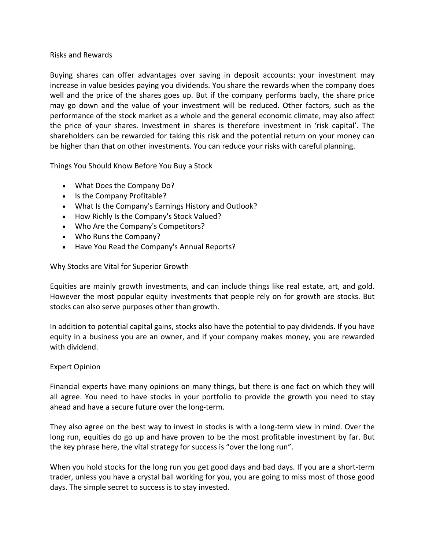# Risks and Rewards

Buying shares can offer advantages over saving in deposit accounts: your investment may increase in value besides paying you dividends. You share the rewards when the company does well and the price of the shares goes up. But if the company performs badly, the share price may go down and the value of your investment will be reduced. Other factors, such as the performance of the stock market as a whole and the general economic climate, may also affect the price of your shares. Investment in shares is therefore investment in 'risk capital'. The shareholders can be rewarded for taking this risk and the potential return on your money can be higher than that on other investments. You can reduce your risks with careful planning.

Things You Should Know Before You Buy a Stock

- What Does the Company Do?
- Is the Company Profitable?
- What Is the Company's Earnings History and Outlook?
- How Richly Is the Company's Stock Valued?
- Who Are the Company's Competitors?
- Who Runs the Company?
- Have You Read the Company's Annual Reports?

Why Stocks are Vital for Superior Growth

Equities are mainly growth investments, and can include things like real estate, art, and gold. However the most popular equity investments that people rely on for growth are stocks. But stocks can also serve purposes other than growth.

In addition to potential capital gains, stocks also have the potential to pay dividends. If you have equity in a business you are an owner, and if your company makes money, you are rewarded with dividend.

# Expert Opinion

Financial experts have many opinions on many things, but there is one fact on which they will all agree. You need to have stocks in your portfolio to provide the growth you need to stay ahead and have a secure future over the long-term.

They also agree on the best way to invest in stocks is with a long-term view in mind. Over the long run, equities do go up and have proven to be the most profitable investment by far. But the key phrase here, the vital strategy for success is "over the long run".

When you hold stocks for the long run you get good days and bad days. If you are a short-term trader, unless you have a crystal ball working for you, you are going to miss most of those good days. The simple secret to success is to stay invested.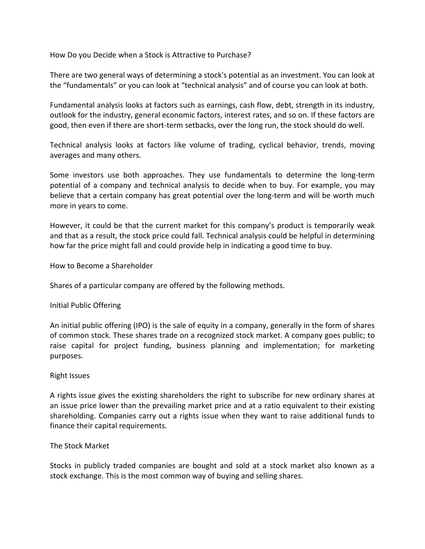How Do you Decide when a Stock is Attractive to Purchase?

There are two general ways of determining a stock's potential as an investment. You can look at the "fundamentals" or you can look at "technical analysis" and of course you can look at both.

Fundamental analysis looks at factors such as earnings, cash flow, debt, strength in its industry, outlook for the industry, general economic factors, interest rates, and so on. If these factors are good, then even if there are short-term setbacks, over the long run, the stock should do well.

Technical analysis looks at factors like volume of trading, cyclical behavior, trends, moving averages and many others.

Some investors use both approaches. They use fundamentals to determine the long-term potential of a company and technical analysis to decide when to buy. For example, you may believe that a certain company has great potential over the long-term and will be worth much more in years to come.

However, it could be that the current market for this company's product is temporarily weak and that as a result, the stock price could fall. Technical analysis could be helpful in determining how far the price might fall and could provide help in indicating a good time to buy.

How to Become a Shareholder

Shares of a particular company are offered by the following methods.

# Initial Public Offering

An initial public offering (IPO) is the sale of equity in a company, generally in the form of shares of common stock. These shares trade on a recognized stock market. A company goes public; to raise capital for project funding, business planning and implementation; for marketing purposes.

### Right Issues

A rights issue gives the existing shareholders the right to subscribe for new ordinary shares at an issue price lower than the prevailing market price and at a ratio equivalent to their existing shareholding. Companies carry out a rights issue when they want to raise additional funds to finance their capital requirements.

# The Stock Market

Stocks in publicly traded companies are bought and sold at a stock market also known as a stock exchange. This is the most common way of buying and selling shares.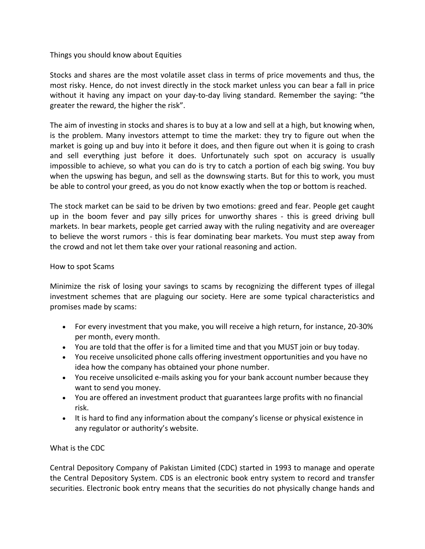# Things you should know about Equities

Stocks and shares are the most volatile asset class in terms of price movements and thus, the most risky. Hence, do not invest directly in the stock market unless you can bear a fall in price without it having any impact on your day-to-day living standard. Remember the saying: "the greater the reward, the higher the risk".

The aim of investing in stocks and shares is to buy at a low and sell at a high, but knowing when, is the problem. Many investors attempt to time the market: they try to figure out when the market is going up and buy into it before it does, and then figure out when it is going to crash and sell everything just before it does. Unfortunately such spot on accuracy is usually impossible to achieve, so what you can do is try to catch a portion of each big swing. You buy when the upswing has begun, and sell as the downswing starts. But for this to work, you must be able to control your greed, as you do not know exactly when the top or bottom is reached.

The stock market can be said to be driven by two emotions: greed and fear. People get caught up in the boom fever and pay silly prices for unworthy shares - this is greed driving bull markets. In bear markets, people get carried away with the ruling negativity and are overeager to believe the worst rumors - this is fear dominating bear markets. You must step away from the crowd and not let them take over your rational reasoning and action.

# How to spot Scams

Minimize the risk of losing your savings to scams by recognizing the different types of illegal investment schemes that are plaguing our society. Here are some typical characteristics and promises made by scams:

- For every investment that you make, you will receive a high return, for instance, 20-30% per month, every month.
- You are told that the offer is for a limited time and that you MUST join or buy today.
- You receive unsolicited phone calls offering investment opportunities and you have no idea how the company has obtained your phone number.
- You receive unsolicited e-mails asking you for your bank account number because they want to send you money.
- You are offered an investment product that guarantees large profits with no financial risk.
- It is hard to find any information about the company's license or physical existence in any regulator or authority's website.

# What is the CDC

Central Depository Company of Pakistan Limited (CDC) started in 1993 to manage and operate the Central Depository System. CDS is an electronic book entry system to record and transfer securities. Electronic book entry means that the securities do not physically change hands and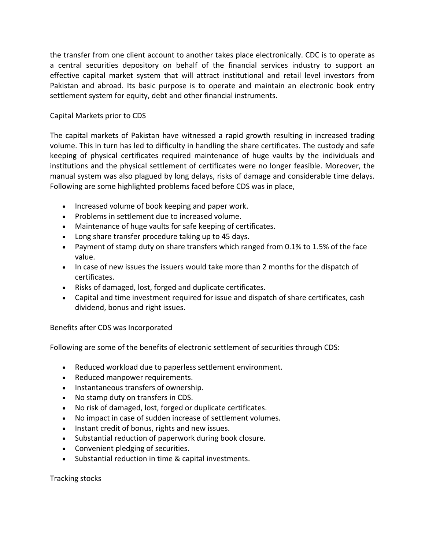the transfer from one client account to another takes place electronically. CDC is to operate as a central securities depository on behalf of the financial services industry to support an effective capital market system that will attract institutional and retail level investors from Pakistan and abroad. Its basic purpose is to operate and maintain an electronic book entry settlement system for equity, debt and other financial instruments.

# Capital Markets prior to CDS

The capital markets of Pakistan have witnessed a rapid growth resulting in increased trading volume. This in turn has led to difficulty in handling the share certificates. The custody and safe keeping of physical certificates required maintenance of huge vaults by the individuals and institutions and the physical settlement of certificates were no longer feasible. Moreover, the manual system was also plagued by long delays, risks of damage and considerable time delays. Following are some highlighted problems faced before CDS was in place,

- Increased volume of book keeping and paper work.
- Problems in settlement due to increased volume.
- Maintenance of huge vaults for safe keeping of certificates.
- Long share transfer procedure taking up to 45 days.
- Payment of stamp duty on share transfers which ranged from 0.1% to 1.5% of the face value.
- In case of new issues the issuers would take more than 2 months for the dispatch of certificates.
- Risks of damaged, lost, forged and duplicate certificates.
- Capital and time investment required for issue and dispatch of share certificates, cash dividend, bonus and right issues.

# Benefits after CDS was Incorporated

Following are some of the benefits of electronic settlement of securities through CDS:

- Reduced workload due to paperless settlement environment.
- Reduced manpower requirements.
- Instantaneous transfers of ownership.
- No stamp duty on transfers in CDS.
- No risk of damaged, lost, forged or duplicate certificates.
- No impact in case of sudden increase of settlement volumes.
- Instant credit of bonus, rights and new issues.
- Substantial reduction of paperwork during book closure.
- Convenient pledging of securities.
- Substantial reduction in time & capital investments.

Tracking stocks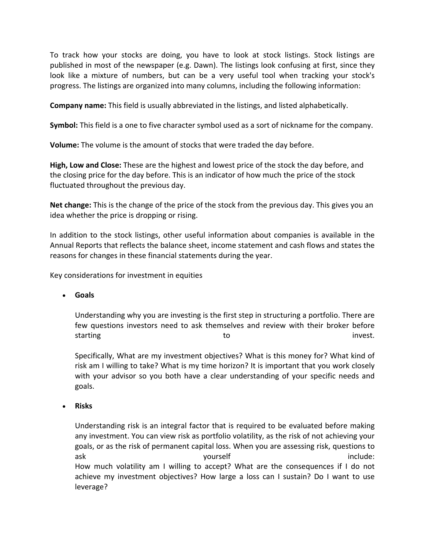To track how your stocks are doing, you have to look at stock listings. Stock listings are published in most of the newspaper (e.g. Dawn). The listings look confusing at first, since they look like a mixture of numbers, but can be a very useful tool when tracking your stock's progress. The listings are organized into many columns, including the following information:

**Company name:** This field is usually abbreviated in the listings, and listed alphabetically.

**Symbol:** This field is a one to five character symbol used as a sort of nickname for the company.

**Volume:** The volume is the amount of stocks that were traded the day before.

**High, Low and Close:** These are the highest and lowest price of the stock the day before, and the closing price for the day before. This is an indicator of how much the price of the stock fluctuated throughout the previous day.

**Net change:** This is the change of the price of the stock from the previous day. This gives you an idea whether the price is dropping or rising.

In addition to the stock listings, other useful information about companies is available in the Annual Reports that reflects the balance sheet, income statement and cash flows and states the reasons for changes in these financial statements during the year.

Key considerations for investment in equities

• **Goals**

Understanding why you are investing is the first step in structuring a portfolio. There are few questions investors need to ask themselves and review with their broker before starting to the starting to the starting to the starting to the starting to the starting to the starting to the  $\sim$ 

Specifically, What are my investment objectives? What is this money for? What kind of risk am I willing to take? What is my time horizon? It is important that you work closely with your advisor so you both have a clear understanding of your specific needs and goals.

• **Risks**

Understanding risk is an integral factor that is required to be evaluated before making any investment. You can view risk as portfolio volatility, as the risk of not achieving your goals, or as the risk of permanent capital loss. When you are assessing risk, questions to ask and the set of the set of the set of the set of the set of the set of the set of the set of the set of the s How much volatility am I willing to accept? What are the consequences if I do not achieve my investment objectives? How large a loss can I sustain? Do I want to use leverage?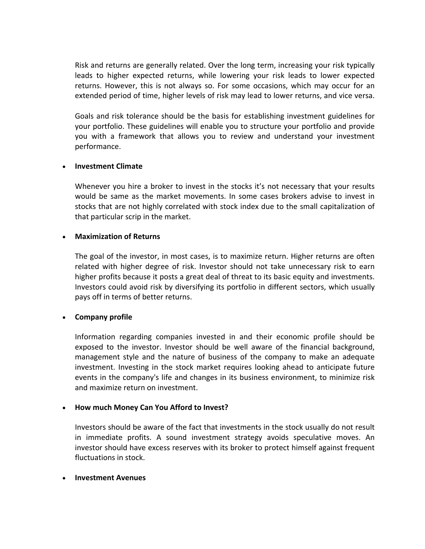Risk and returns are generally related. Over the long term, increasing your risk typically leads to higher expected returns, while lowering your risk leads to lower expected returns. However, this is not always so. For some occasions, which may occur for an extended period of time, higher levels of risk may lead to lower returns, and vice versa.

Goals and risk tolerance should be the basis for establishing investment guidelines for your portfolio. These guidelines will enable you to structure your portfolio and provide you with a framework that allows you to review and understand your investment performance.

# • **Investment Climate**

Whenever you hire a broker to invest in the stocks it's not necessary that your results would be same as the market movements. In some cases brokers advise to invest in stocks that are not highly correlated with stock index due to the small capitalization of that particular scrip in the market.

# • **Maximization of Returns**

The goal of the investor, in most cases, is to maximize return. Higher returns are often related with higher degree of risk. Investor should not take unnecessary risk to earn higher profits because it posts a great deal of threat to its basic equity and investments. Investors could avoid risk by diversifying its portfolio in different sectors, which usually pays off in terms of better returns.

# • **Company profile**

Information regarding companies invested in and their economic profile should be exposed to the investor. Investor should be well aware of the financial background, management style and the nature of business of the company to make an adequate investment. Investing in the stock market requires looking ahead to anticipate future events in the company's life and changes in its business environment, to minimize risk and maximize return on investment.

# • **How much Money Can You Afford to Invest?**

Investors should be aware of the fact that investments in the stock usually do not result in immediate profits. A sound investment strategy avoids speculative moves. An investor should have excess reserves with its broker to protect himself against frequent fluctuations in stock.

### • **Investment Avenues**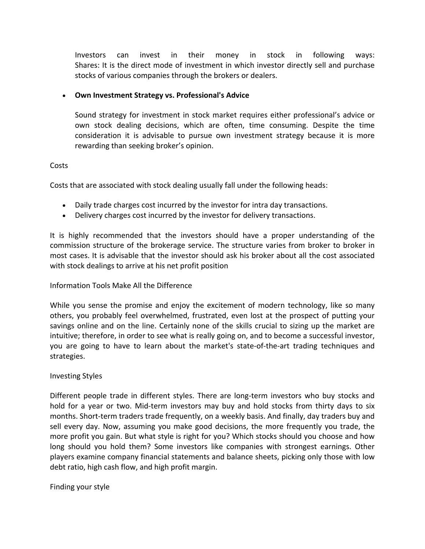Investors can invest in their money in stock in following ways: Shares: It is the direct mode of investment in which investor directly sell and purchase stocks of various companies through the brokers or dealers.

# • **Own Investment Strategy vs. Professional's Advice**

Sound strategy for investment in stock market requires either professional's advice or own stock dealing decisions, which are often, time consuming. Despite the time consideration it is advisable to pursue own investment strategy because it is more rewarding than seeking broker's opinion.

# Costs

Costs that are associated with stock dealing usually fall under the following heads:

- Daily trade charges cost incurred by the investor for intra day transactions.
- Delivery charges cost incurred by the investor for delivery transactions.

It is highly recommended that the investors should have a proper understanding of the commission structure of the brokerage service. The structure varies from broker to broker in most cases. It is advisable that the investor should ask his broker about all the cost associated with stock dealings to arrive at his net profit position

# Information Tools Make All the Difference

While you sense the promise and enjoy the excitement of modern technology, like so many others, you probably feel overwhelmed, frustrated, even lost at the prospect of putting your savings online and on the line. Certainly none of the skills crucial to sizing up the market are intuitive; therefore, in order to see what is really going on, and to become a successful investor, you are going to have to learn about the market's state-of-the-art trading techniques and strategies.

# Investing Styles

Different people trade in different styles. There are long-term investors who buy stocks and hold for a year or two. Mid-term investors may buy and hold stocks from thirty days to six months. Short-term traders trade frequently, on a weekly basis. And finally, day traders buy and sell every day. Now, assuming you make good decisions, the more frequently you trade, the more profit you gain. But what style is right for you? Which stocks should you choose and how long should you hold them? Some investors like companies with strongest earnings. Other players examine company financial statements and balance sheets, picking only those with low debt ratio, high cash flow, and high profit margin.

# Finding your style